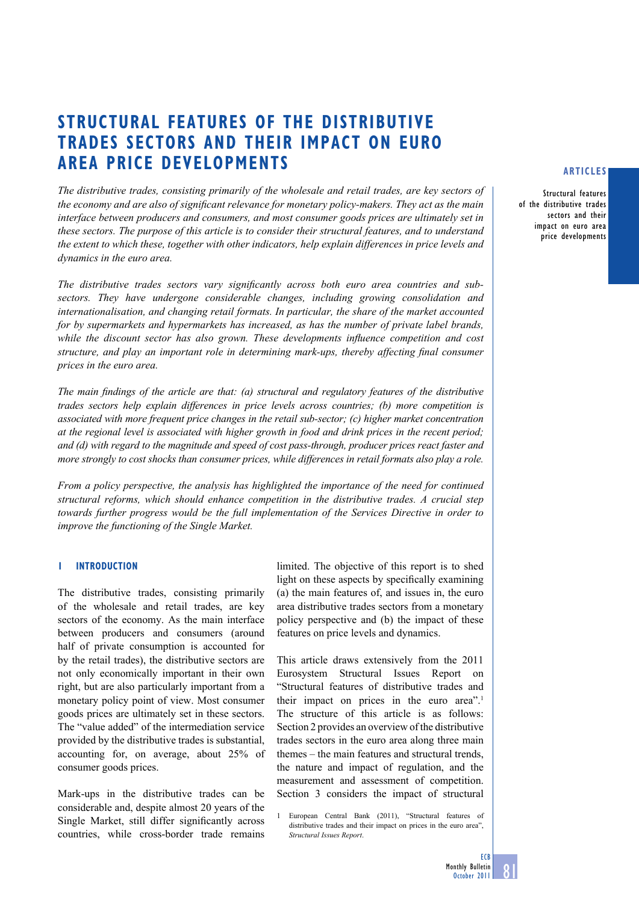# **Structural Features of the distributive trades sectors and their impact on euro area price developments**

*The distributive trades, consisting primarily of the wholesale and retail trades, are key sectors of the economy and are also of significant relevance for monetary policy-makers. They act as the main interface between producers and consumers, and most consumer goods prices are ultimately set in these sectors. The purpose of this article is to consider their structural features, and to understand the extent to which these, together with other indicators, help explain differences in price levels and dynamics in the euro area.*

*The distributive trades sectors vary significantly across both euro area countries and subsectors. They have undergone considerable changes, including growing consolidation and internationalisation, and changing retail formats. In particular, the share of the market accounted for by supermarkets and hypermarkets has increased, as has the number of private label brands, while the discount sector has also grown. These developments influence competition and cost structure, and play an important role in determining mark-ups, thereby affecting final consumer prices in the euro area.*

*The main findings of the article are that: (a) structural and regulatory features of the distributive trades sectors help explain differences in price levels across countries; (b) more competition is associated with more frequent price changes in the retail sub-sector; (c) higher market concentration at the regional level is associated with higher growth in food and drink prices in the recent period; and (d) with regard to the magnitude and speed of cost pass-through, producer prices react faster and more strongly to cost shocks than consumer prices, while differences in retail formats also play a role.*

*From a policy perspective, the analysis has highlighted the importance of the need for continued structural reforms, which should enhance competition in the distributive trades. A crucial step towards further progress would be the full implementation of the Services Directive in order to improve the functioning of the Single Market.*

#### **1 Introduction**

The distributive trades, consisting primarily of the wholesale and retail trades, are key sectors of the economy. As the main interface between producers and consumers (around half of private consumption is accounted for by the retail trades), the distributive sectors are not only economically important in their own right, but are also particularly important from a monetary policy point of view. Most consumer goods prices are ultimately set in these sectors. The "value added" of the intermediation service provided by the distributive trades is substantial, accounting for, on average, about 25% of consumer goods prices.

Mark-ups in the distributive trades can be considerable and, despite almost 20 years of the Single Market, still differ significantly across countries, while cross-border trade remains limited. The objective of this report is to shed light on these aspects by specifically examining (a) the main features of, and issues in, the euro area distributive trades sectors from a monetary policy perspective and (b) the impact of these features on price levels and dynamics.

This article draws extensively from the 2011 Eurosystem Structural Issues Report on "Structural features of distributive trades and their impact on prices in the euro area".1 The structure of this article is as follows: Section 2 provides an overview of the distributive trades sectors in the euro area along three main themes – the main features and structural trends, the nature and impact of regulation, and the measurement and assessment of competition. Section 3 considers the impact of structural

European Central Bank (2011), "Structural features of distributive trades and their impact on prices in the euro area", *Structural Issues Report*.

#### **articles**

Structural features of the distributive trades sectors and their impact on euro area price developments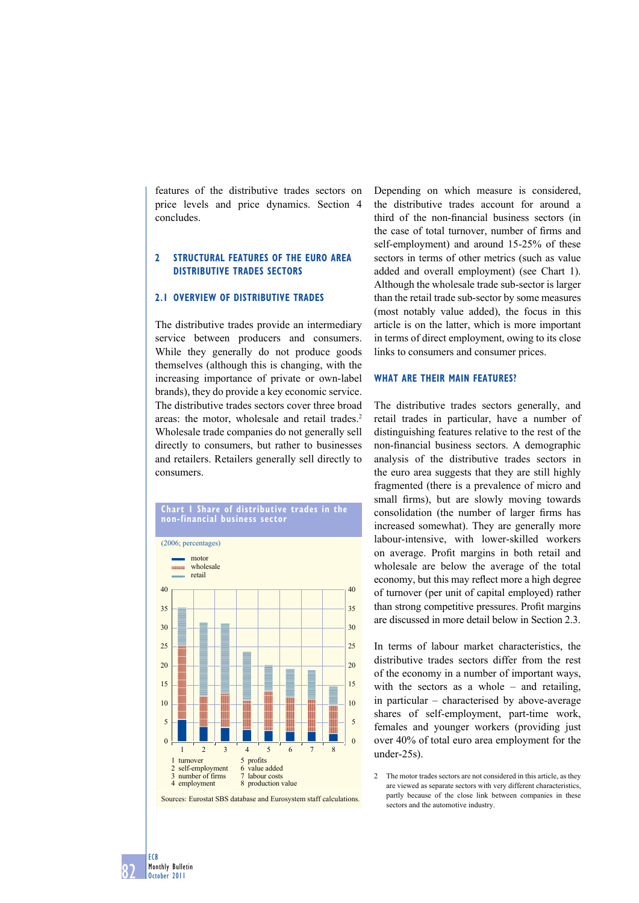features of the distributive trades sectors on price levels and price dynamics. Section 4 concludes.

# **2 structural Features oF the euro area distributiVe trades sectors**

# **2.1 oVerVieW oF distributiVe trades**

The distributive trades provide an intermediary service between producers and consumers. While they generally do not produce goods themselves (although this is changing, with the increasing importance of private or own-label brands), they do provide a key economic service. The distributive trades sectors cover three broad areas: the motor, wholesale and retail trades.<sup>2</sup> Wholesale trade companies do not generally sell directly to consumers, but rather to businesses and retailers. Retailers generally sell directly to consumers.



**chart 1 share of distributive trades in the non-financial business sector**

Sources: Eurostat SBS database and Eurosystem staff calculations.

Depending on which measure is considered, the distributive trades account for around a third of the non-financial business sectors (in the case of total turnover, number of firms and self-employment) and around 15-25% of these sectors in terms of other metrics (such as value added and overall employment) (see Chart 1). Although the wholesale trade sub-sector is larger than the retail trade sub-sector by some measures (most notably value added), the focus in this article is on the latter, which is more important in terms of direct employment, owing to its close links to consumers and consumer prices.

#### **What are their main Features?**

The distributive trades sectors generally, and retail trades in particular, have a number of distinguishing features relative to the rest of the non-financial business sectors. A demographic analysis of the distributive trades sectors in the euro area suggests that they are still highly fragmented (there is a prevalence of micro and small firms), but are slowly moving towards consolidation (the number of larger firms has increased somewhat). They are generally more labour-intensive, with lower-skilled workers on average. Profit margins in both retail and wholesale are below the average of the total economy, but this may reflect more a high degree of turnover (per unit of capital employed) rather than strong competitive pressures. Profit margins are discussed in more detail below in Section 2.3.

In terms of labour market characteristics, the distributive trades sectors differ from the rest of the economy in a number of important ways, with the sectors as a whole – and retailing, in particular – characterised by above-average shares of self-employment, part-time work, females and younger workers (providing just over 40% of total euro area employment for the under-25s).

2 The motor trades sectors are not considered in this article, as they are viewed as separate sectors with very different characteristics, partly because of the close link between companies in these sectors and the automotive industry.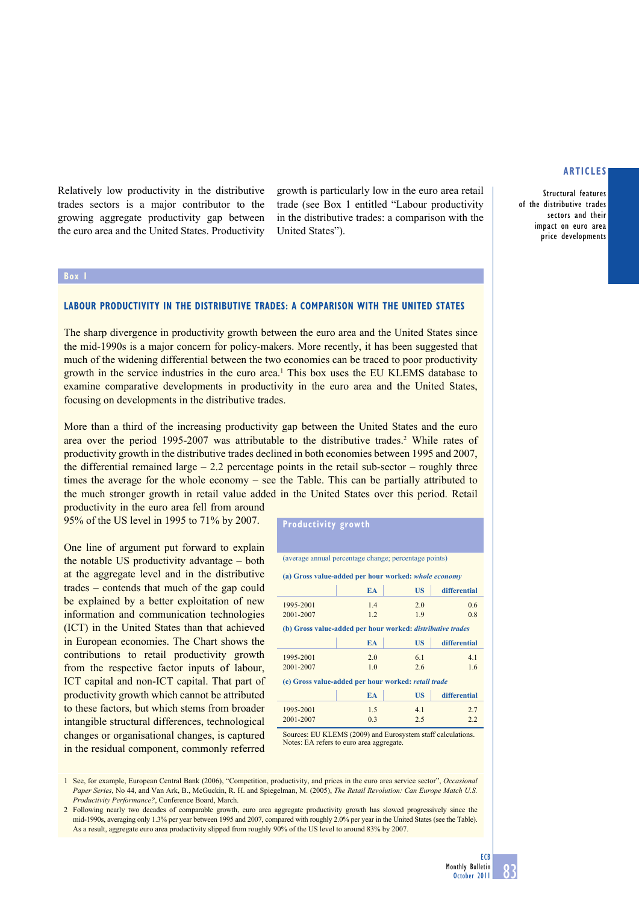Structural features of the distributive trades sectors and their impact on euro area price developments

Relatively low productivity in the distributive trades sectors is a major contributor to the growing aggregate productivity gap between the euro area and the United States. Productivity

# **Box 1**

# **Labour productivity in the distributive trades: a comparison with the United States**

United States").

The sharp divergence in productivity growth between the euro area and the United States since the mid-1990s is a major concern for policy-makers. More recently, it has been suggested that much of the widening differential between the two economies can be traced to poor productivity growth in the service industries in the euro area.1 This box uses the EU KLEMS database to examine comparative developments in productivity in the euro area and the United States, focusing on developments in the distributive trades.

More than a third of the increasing productivity gap between the United States and the euro area over the period 1995-2007 was attributable to the distributive trades.<sup>2</sup> While rates of productivity growth in the distributive trades declined in both economies between 1995 and 2007, the differential remained large  $-2.2$  percentage points in the retail sub-sector – roughly three times the average for the whole economy – see the Table. This can be partially attributed to the much stronger growth in retail value added in the United States over this period. Retail productivity in the euro area fell from around

**Productivity growth**

95% of the US level in 1995 to 71% by 2007.

One line of argument put forward to explain the notable US productivity advantage – both at the aggregate level and in the distributive trades – contends that much of the gap could be explained by a better exploitation of new information and communication technologies (ICT) in the United States than that achieved in European economies. The Chart shows the contributions to retail productivity growth from the respective factor inputs of labour, ICT capital and non-ICT capital. That part of productivity growth which cannot be attributed to these factors, but which stems from broader intangible structural differences, technological changes or organisational changes, is captured in the residual component, commonly referred

| (average annual percentage change; percentage points)             |           |           |              |  |  |  |
|-------------------------------------------------------------------|-----------|-----------|--------------|--|--|--|
| (a) Gross value-added per hour worked: whole economy              |           |           |              |  |  |  |
|                                                                   | EA        | <b>US</b> | differential |  |  |  |
| 1995-2001                                                         | 1.4       | 2.0       | 0.6          |  |  |  |
| 2001-2007                                                         | 1.2       | 1.9       | 0.8          |  |  |  |
| (b) Gross value-added per hour worked: <i>distributive trades</i> |           |           |              |  |  |  |
|                                                                   | <b>EA</b> | <b>US</b> | differential |  |  |  |
| 1995-2001                                                         | 2.0       | 6.1       | 4.1          |  |  |  |
| 2001-2007                                                         | 1.0       | 2.6       | 1.6          |  |  |  |
| (c) Gross value-added per hour worked: retail trade               |           |           |              |  |  |  |
|                                                                   | EA        | US        | differential |  |  |  |
| 1995-2001                                                         | 1.5       | 4.1       | 2.7          |  |  |  |
| 2001-2007                                                         | 0.3       | 2.5       | 2.2          |  |  |  |

growth is particularly low in the euro area retail trade (see Box 1 entitled "Labour productivity in the distributive trades: a comparison with the

Sources: EU KLEMS (2009) and Eurosystem staff calculations. Notes: EA refers to euro area aggregate

1 See, for example, European Central Bank (2006), "Competition, productivity, and prices in the euro area service sector", *Occasional Paper Series*, No 44, and Van Ark, B., McGuckin, R. H. and Spiegelman, M. (2005), *The Retail Revolution: Can Europe Match U.S. Productivity Performance?*, Conference Board, March.

2 Following nearly two decades of comparable growth, euro area aggregate productivity growth has slowed progressively since the mid-1990s, averaging only 1.3% per year between 1995 and 2007, compared with roughly 2.0% per year in the United States (see the Table). As a result, aggregate euro area productivity slipped from roughly 90% of the US level to around 83% by 2007.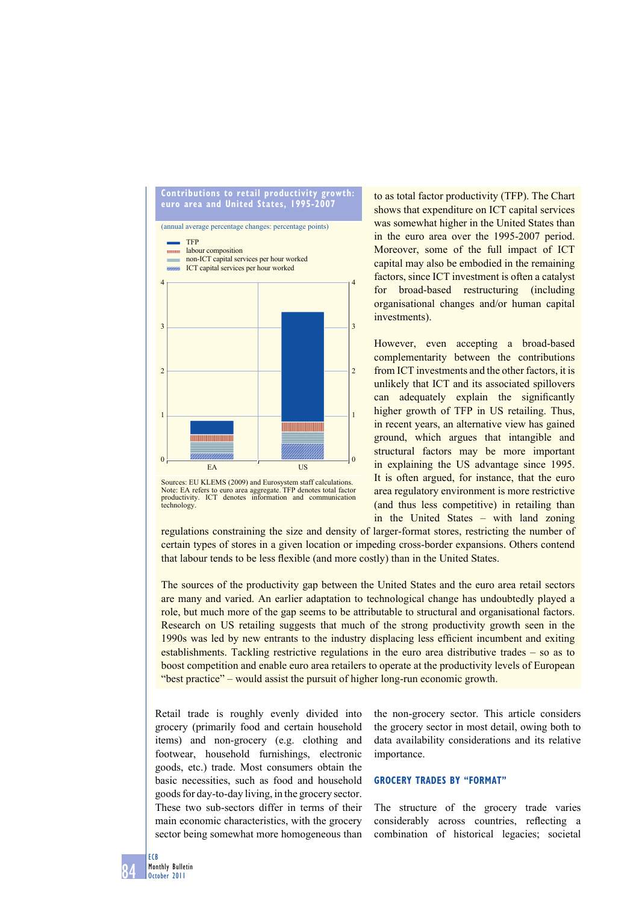

Sources: EU KLEMS (2009) and Eurosystem staff calculations. Note: EA refers to euro area aggregate. TFP denotes total factor productivity. ICT denotes information and communication technology.

to as total factor productivity (TFP). The Chart shows that expenditure on ICT capital services was somewhat higher in the United States than in the euro area over the 1995-2007 period. Moreover, some of the full impact of ICT capital may also be embodied in the remaining factors, since ICT investment is often a catalyst for broad-based restructuring (including organisational changes and/or human capital investments).

however, even accepting a broad-based complementarity between the contributions from ICT investments and the other factors, it is unlikely that ICT and its associated spillovers can adequately explain the significantly higher growth of TFP in US retailing. Thus, in recent years, an alternative view has gained ground, which argues that intangible and structural factors may be more important in explaining the US advantage since 1995. It is often argued, for instance, that the euro area regulatory environment is more restrictive (and thus less competitive) in retailing than in the United States – with land zoning

regulations constraining the size and density of larger-format stores, restricting the number of certain types of stores in a given location or impeding cross-border expansions. Others contend that labour tends to be less flexible (and more costly) than in the United States.

The sources of the productivity gap between the United States and the euro area retail sectors are many and varied. An earlier adaptation to technological change has undoubtedly played a role, but much more of the gap seems to be attributable to structural and organisational factors. Research on US retailing suggests that much of the strong productivity growth seen in the 1990s was led by new entrants to the industry displacing less efficient incumbent and exiting establishments. Tackling restrictive regulations in the euro area distributive trades – so as to boost competition and enable euro area retailers to operate at the productivity levels of European "best practice" – would assist the pursuit of higher long-run economic growth.

Retail trade is roughly evenly divided into grocery (primarily food and certain household items) and non-grocery (e.g. clothing and footwear, household furnishings, electronic goods, etc.) trade. Most consumers obtain the basic necessities, such as food and household goods for day-to-day living, in the grocery sector. These two sub-sectors differ in terms of their main economic characteristics, with the grocery sector being somewhat more homogeneous than

the non-grocery sector. This article considers the grocery sector in most detail, owing both to data availability considerations and its relative importance.

# **Grocery trades by "Format"**

The structure of the grocery trade varies considerably across countries, reflecting a combination of historical legacies; societal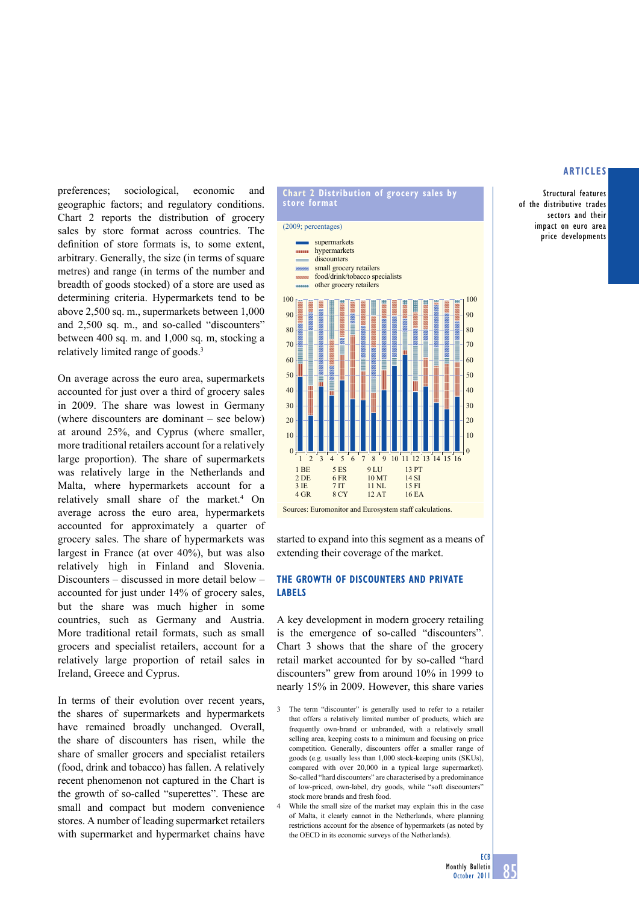Structural features of the distributive trades sectors and their impact on euro area price developments

preferences; sociological, economic and geographic factors; and regulatory conditions. Chart 2 reports the distribution of grocery sales by store format across countries. The definition of store formats is, to some extent, arbitrary. Generally, the size (in terms of square metres) and range (in terms of the number and breadth of goods stocked) of a store are used as determining criteria. Hypermarkets tend to be above 2,500 sq. m., supermarkets between 1,000 and 2,500 sq. m., and so-called "discounters" between 400 sq. m. and 1,000 sq. m, stocking a relatively limited range of goods.3

On average across the euro area, supermarkets accounted for just over a third of grocery sales in 2009. The share was lowest in Germany (where discounters are dominant – see below) at around 25%, and Cyprus (where smaller, more traditional retailers account for a relatively large proportion). The share of supermarkets was relatively large in the Netherlands and Malta, where hypermarkets account for a relatively small share of the market.<sup>4</sup> On average across the euro area, hypermarkets accounted for approximately a quarter of grocery sales. The share of hypermarkets was largest in France (at over 40%), but was also relatively high in Finland and Slovenia. Discounters – discussed in more detail below – accounted for just under 14% of grocery sales, but the share was much higher in some countries, such as Germany and Austria. More traditional retail formats, such as small grocers and specialist retailers, account for a relatively large proportion of retail sales in Ireland, Greece and Cyprus.

In terms of their evolution over recent years, the shares of supermarkets and hypermarkets have remained broadly unchanged. Overall, the share of discounters has risen, while the share of smaller grocers and specialist retailers (food, drink and tobacco) has fallen. A relatively recent phenomenon not captured in the Chart is the growth of so-called "superettes". These are small and compact but modern convenience stores. A number of leading supermarket retailers with supermarket and hypermarket chains have

# **chart 2 distribution of grocery sales by store format** (2009; percentages)

supermarkets



Sources: Euromonitor and Eurosystem staff calculations.

started to expand into this segment as a means of extending their coverage of the market.

# **the GroWth oF discounters and priVate labels**

A key development in modern grocery retailing is the emergence of so-called "discounters". Chart 3 shows that the share of the grocery retail market accounted for by so-called "hard discounters" grew from around 10% in 1999 to nearly 15% in 2009. however, this share varies

- 3 The term "discounter" is generally used to refer to a retailer that offers a relatively limited number of products, which are frequently own-brand or unbranded, with a relatively small selling area, keeping costs to a minimum and focusing on price competition. Generally, discounters offer a smaller range of goods (e.g. usually less than 1,000 stock-keeping units (SKUs), compared with over 20,000 in a typical large supermarket). So-called "hard discounters" are characterised by a predominance of low-priced, own-label, dry goods, while "soft discounters" stock more brands and fresh food.
- 4 While the small size of the market may explain this in the case of Malta, it clearly cannot in the Netherlands, where planning restrictions account for the absence of hypermarkets (as noted by the OECD in its economic surveys of the Netherlands).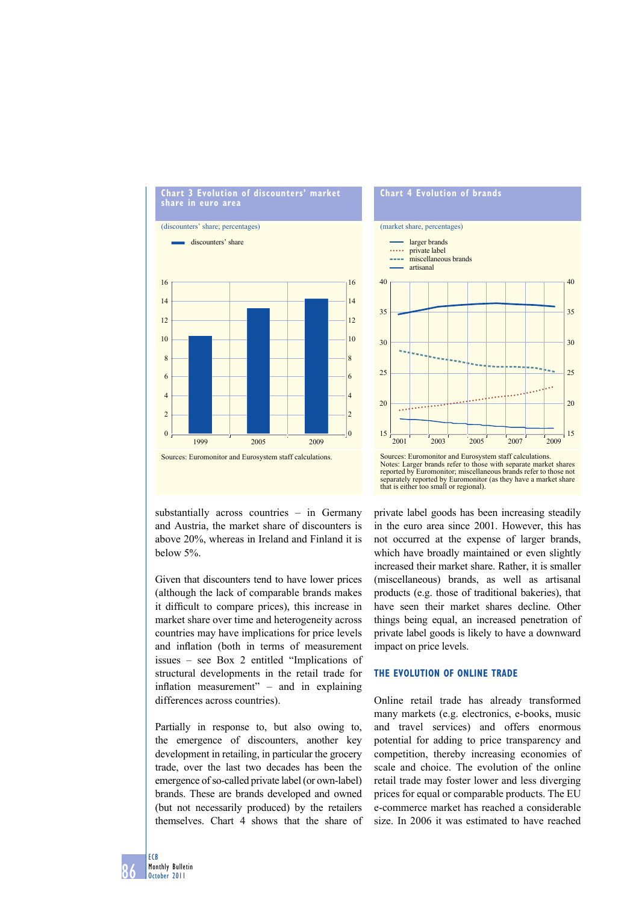

substantially across countries – in Germany and Austria, the market share of discounters is above 20%, whereas in Ireland and Finland it is below 5%.

Given that discounters tend to have lower prices (although the lack of comparable brands makes it difficult to compare prices), this increase in market share over time and heterogeneity across countries may have implications for price levels and inflation (both in terms of measurement issues – see Box 2 entitled "Implications of structural developments in the retail trade for inflation measurement"  $-$  and in explaining differences across countries).

Partially in response to, but also owing to, the emergence of discounters, another key development in retailing, in particular the grocery trade, over the last two decades has been the emergence of so-called private label (or own-label) brands. These are brands developed and owned (but not necessarily produced) by the retailers themselves. Chart 4 shows that the share of

# **chart 4 evolution of brands** (market share, percentages)



reported by Euromonitor; miscellaneous brands refer to those not separately reported by Euromonitor (as they have a market share that is either too small or regional).

private label goods has been increasing steadily in the euro area since 2001. however, this has not occurred at the expense of larger brands, which have broadly maintained or even slightly increased their market share. Rather, it is smaller (miscellaneous) brands, as well as artisanal products (e.g. those of traditional bakeries), that have seen their market shares decline. Other things being equal, an increased penetration of private label goods is likely to have a downward impact on price levels.

# **the eVolution oF online trade**

Online retail trade has already transformed many markets (e.g. electronics, e-books, music and travel services) and offers enormous potential for adding to price transparency and competition, thereby increasing economies of scale and choice. The evolution of the online retail trade may foster lower and less diverging prices for equal or comparable products. The EU e-commerce market has reached a considerable size. In 2006 it was estimated to have reached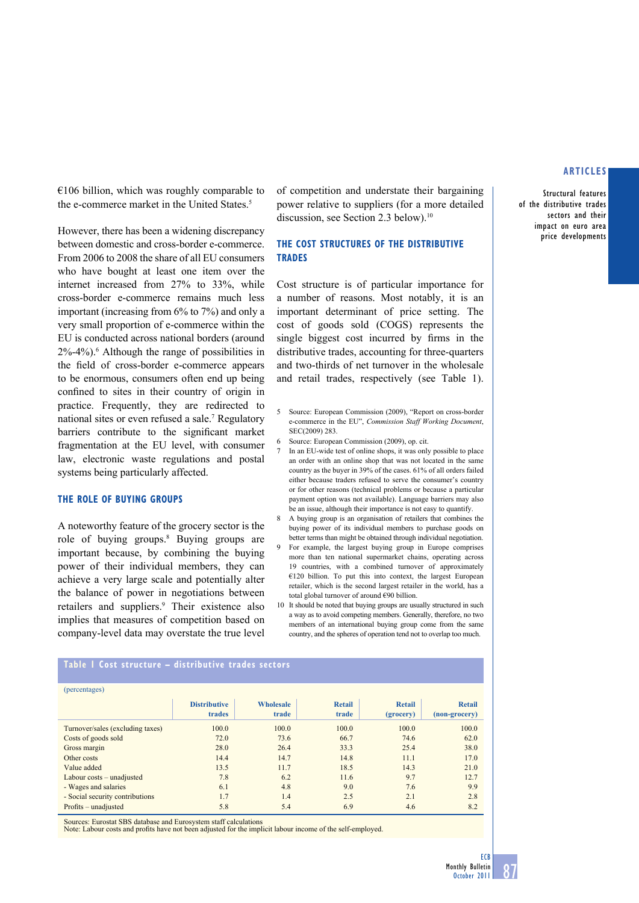Structural features of the distributive trades sectors and their impact on euro area price developments

 $€106$  billion, which was roughly comparable to the e-commerce market in the United States.<sup>5</sup>

However, there has been a widening discrepancy between domestic and cross-border e-commerce. From 2006 to 2008 the share of all EU consumers who have bought at least one item over the internet increased from 27% to 33%, while cross-border e-commerce remains much less important (increasing from 6% to 7%) and only a very small proportion of e-commerce within the EU is conducted across national borders (around 2%-4%).6 Although the range of possibilities in the field of cross-border e-commerce appears to be enormous, consumers often end up being confined to sites in their country of origin in practice. Frequently, they are redirected to national sites or even refused a sale.7 Regulatory barriers contribute to the significant market fragmentation at the EU level, with consumer law, electronic waste regulations and postal systems being particularly affected.

#### **The role of buying groups**

A noteworthy feature of the grocery sector is the role of buying groups.8 Buying groups are important because, by combining the buying power of their individual members, they can achieve a very large scale and potentially alter the balance of power in negotiations between retailers and suppliers.<sup>9</sup> Their existence also implies that measures of competition based on company-level data may overstate the true level

of competition and understate their bargaining power relative to suppliers (for a more detailed discussion, see Section 2.3 below).<sup>10</sup>

# **The cost structures of the distributive trades**

Cost structure is of particular importance for a number of reasons. Most notably, it is an important determinant of price setting. The cost of goods sold (COGS) represents the single biggest cost incurred by firms in the distributive trades, accounting for three-quarters and two-thirds of net turnover in the wholesale and retail trades, respectively (see Table 1).

- 5 Source: European Commission (2009), "Report on cross-border e-commerce in the EU", *Commission Staff Working Document*, SEC(2009) 283.
- 6 Source: European Commission (2009), op. cit.
- In an EU-wide test of online shops, it was only possible to place an order with an online shop that was not located in the same country as the buyer in 39% of the cases. 61% of all orders failed either because traders refused to serve the consumer's country or for other reasons (technical problems or because a particular payment option was not available). Language barriers may also be an issue, although their importance is not easy to quantify.
- 8 A buying group is an organisation of retailers that combines the buying power of its individual members to purchase goods on better terms than might be obtained through individual negotiation.
- 9 For example, the largest buying group in Europe comprises more than ten national supermarket chains, operating across 19 countries, with a combined turnover of approximately  $€120$  billion. To put this into context, the largest European retailer, which is the second largest retailer in the world, has a total global turnover of around €90 billion.
- 10 It should be noted that buying groups are usually structured in such a way as to avoid competing members. Generally, therefore, no two members of an international buying group come from the same country, and the spheres of operation tend not to overlap too much.

#### **Table 1 Cost structure – distributive trades sectors**

| (percentages)                    |                               |                           |                        |                            |                                |
|----------------------------------|-------------------------------|---------------------------|------------------------|----------------------------|--------------------------------|
|                                  | <b>Distributive</b><br>trades | <b>Wholesale</b><br>trade | <b>Retail</b><br>trade | <b>Retail</b><br>(grocery) | <b>Retail</b><br>(non-grocery) |
| Turnover/sales (excluding taxes) | 100.0                         | 100.0                     | 100.0                  | 100.0                      | 100.0                          |
| Costs of goods sold              | 72.0                          | 73.6                      | 66.7                   | 74.6                       | 62.0                           |
| Gross margin                     | 28.0                          | 26.4                      | 33.3                   | 25.4                       | 38.0                           |
| Other costs                      | 14.4                          | 14.7                      | 14.8                   | 11.1                       | 17.0                           |
| Value added                      | 13.5                          | 11.7                      | 18.5                   | 14.3                       | 21.0                           |
| Labour costs – unadjusted        | 7.8                           | 6.2                       | 11.6                   | 9.7                        | 12.7                           |
| - Wages and salaries             | 6.1                           | 4.8                       | 9.0                    | 7.6                        | 9.9                            |
| - Social security contributions  | 1.7                           | 1.4                       | 2.5                    | 2.1                        | 2.8                            |
| Profits – unadjusted             | 5.8                           | 5.4                       | 6.9                    | 4.6                        | 8.2                            |

Sources: Eurostat SBS database and Eurosystem staff calculations

Note: Labour costs and profits have not been adjusted for the implicit labour income of the self-employed.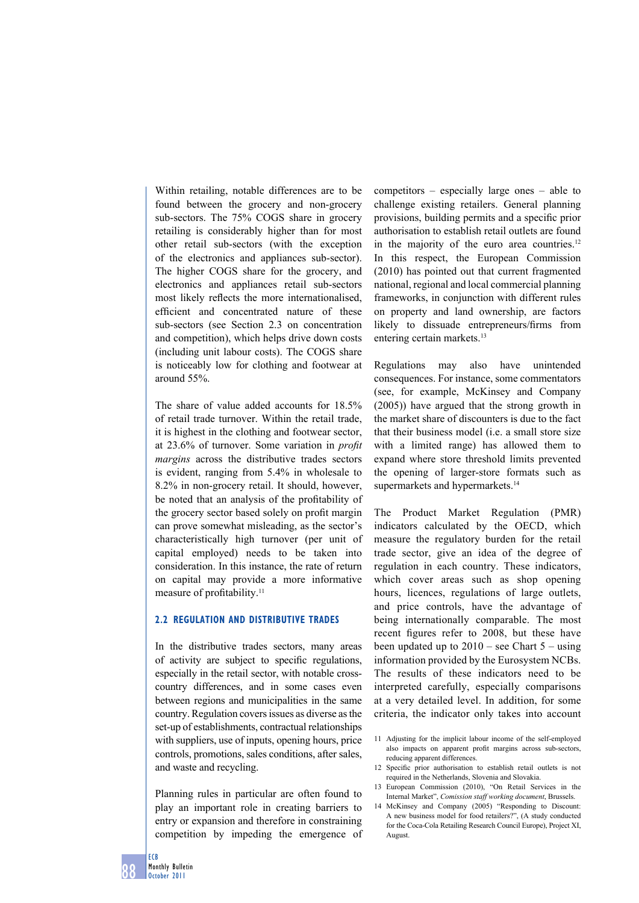Within retailing, notable differences are to be found between the grocery and non-grocery sub-sectors. The 75% COGS share in grocery retailing is considerably higher than for most other retail sub-sectors (with the exception of the electronics and appliances sub-sector). The higher COGS share for the grocery, and electronics and appliances retail sub-sectors most likely reflects the more internationalised, efficient and concentrated nature of these sub-sectors (see Section 2.3 on concentration and competition), which helps drive down costs (including unit labour costs). The COGS share is noticeably low for clothing and footwear at around 55%.

The share of value added accounts for 18.5% of retail trade turnover. Within the retail trade, it is highest in the clothing and footwear sector, at 23.6% of turnover. Some variation in *profit margins* across the distributive trades sectors is evident, ranging from 5.4% in wholesale to 8.2% in non-grocery retail. It should, however, be noted that an analysis of the profitability of the grocery sector based solely on profit margin can prove somewhat misleading, as the sector's characteristically high turnover (per unit of capital employed) needs to be taken into consideration. In this instance, the rate of return on capital may provide a more informative measure of profitability.<sup>11</sup>

#### **2.2 Regulation and distributive trades**

In the distributive trades sectors, many areas of activity are subject to specific regulations, especially in the retail sector, with notable crosscountry differences, and in some cases even between regions and municipalities in the same country. Regulation covers issues as diverse as the set-up of establishments, contractual relationships with suppliers, use of inputs, opening hours, price controls, promotions, sales conditions, after sales, and waste and recycling.

Planning rules in particular are often found to play an important role in creating barriers to entry or expansion and therefore in constraining competition by impeding the emergence of competitors – especially large ones – able to challenge existing retailers. General planning provisions, building permits and a specific prior authorisation to establish retail outlets are found in the majority of the euro area countries.<sup>12</sup> In this respect, the European Commission (2010) has pointed out that current fragmented national, regional and local commercial planning frameworks, in conjunction with different rules on property and land ownership, are factors likely to dissuade entrepreneurs/firms from entering certain markets.<sup>13</sup>

Regulations may also have unintended consequences. For instance, some commentators (see, for example, McKinsey and Company (2005)) have argued that the strong growth in the market share of discounters is due to the fact that their business model (i.e. a small store size with a limited range) has allowed them to expand where store threshold limits prevented the opening of larger-store formats such as supermarkets and hypermarkets.<sup>14</sup>

The Product Market Regulation (PMR) indicators calculated by the OECD, which measure the regulatory burden for the retail trade sector, give an idea of the degree of regulation in each country. These indicators, which cover areas such as shop opening hours, licences, regulations of large outlets, and price controls, have the advantage of being internationally comparable. The most recent figures refer to 2008, but these have been updated up to  $2010$  – see Chart  $5$  – using information provided by the Eurosystem NCBs. The results of these indicators need to be interpreted carefully, especially comparisons at a very detailed level. In addition, for some criteria, the indicator only takes into account

- 12 Specific prior authorisation to establish retail outlets is not required in the Netherlands, Slovenia and Slovakia.
- 13 European Commission (2010), "On Retail Services in the Internal Market", *Comission staff working document*, Brussels.
- 14 McKinsey and Company (2005) "Responding to Discount: A new business model for food retailers?", (A study conducted for the Coca-Cola Retailing Research Council Europe), Project XI, August.

<sup>11</sup> Adjusting for the implicit labour income of the self-employed also impacts on apparent profit margins across sub-sectors, reducing apparent differences.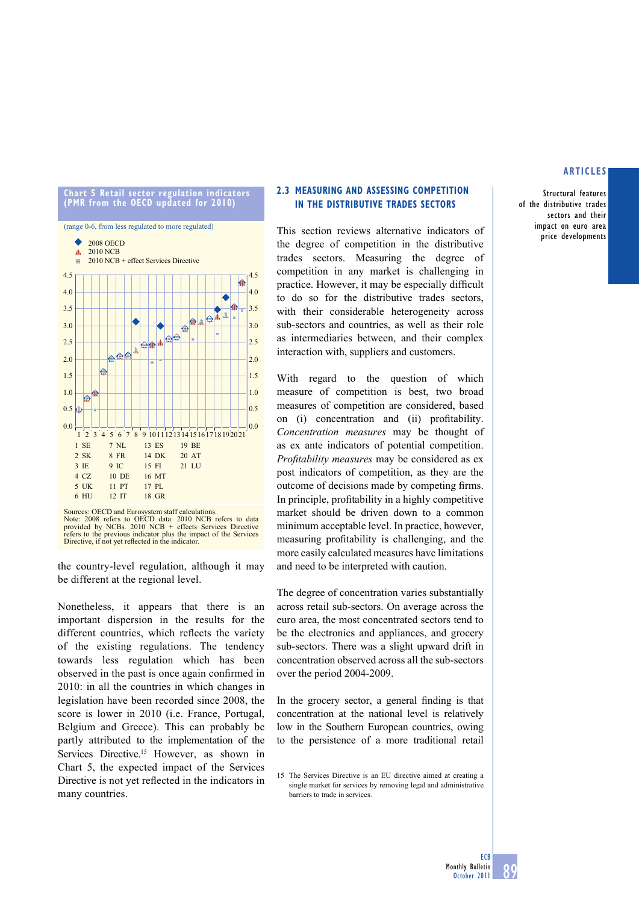Structural features of the distributive trades sectors and their impact on euro area price developments







Sources: OECD and Eurosystem staff calculations. Note: 2008 refers to OECD data. 2010 NCB refers to data<br>provided by NCBs. 2010 NCB + effects Services Directive<br>refers to the previous indicator plus the impact of the Services<br>Directive, if not yet reflected in the indica

the country-level regulation, although it may be different at the regional level.

Nonetheless, it appears that there is an important dispersion in the results for the different countries, which reflects the variety of the existing regulations. The tendency towards less regulation which has been observed in the past is once again confirmed in 2010: in all the countries in which changes in legislation have been recorded since 2008, the score is lower in 2010 (i.e. France, Portugal, Belgium and Greece). This can probably be partly attributed to the implementation of the Services Directive.<sup>15</sup> However, as shown in Chart 5, the expected impact of the Services Directive is not yet reflected in the indicators in many countries.

## **2.3 measurinG and assessinG competition IN THE DISTRIBUTIVE TRADES SECTORS**

This section reviews alternative indicators of the degree of competition in the distributive trades sectors. Measuring the degree of competition in any market is challenging in practice. However, it may be especially difficult to do so for the distributive trades sectors, with their considerable heterogeneity across sub-sectors and countries, as well as their role as intermediaries between, and their complex interaction with, suppliers and customers.

With regard to the question of which measure of competition is best, two broad measures of competition are considered, based on (i) concentration and (ii) profitability. *Concentration measures* may be thought of as ex ante indicators of potential competition. *Profi tability measures* may be considered as ex post indicators of competition, as they are the outcome of decisions made by competing firms. In principle, profitability in a highly competitive market should be driven down to a common minimum acceptable level. In practice, however, measuring profitability is challenging, and the more easily calculated measures have limitations and need to be interpreted with caution.

The degree of concentration varies substantially across retail sub-sectors. On average across the euro area, the most concentrated sectors tend to be the electronics and appliances, and grocery sub-sectors. There was a slight upward drift in concentration observed across all the sub-sectors over the period 2004-2009.

In the grocery sector, a general finding is that concentration at the national level is relatively low in the Southern European countries, owing to the persistence of a more traditional retail

<sup>15</sup> The Services Directive is an EU directive aimed at creating a single market for services by removing legal and administrative barriers to trade in services.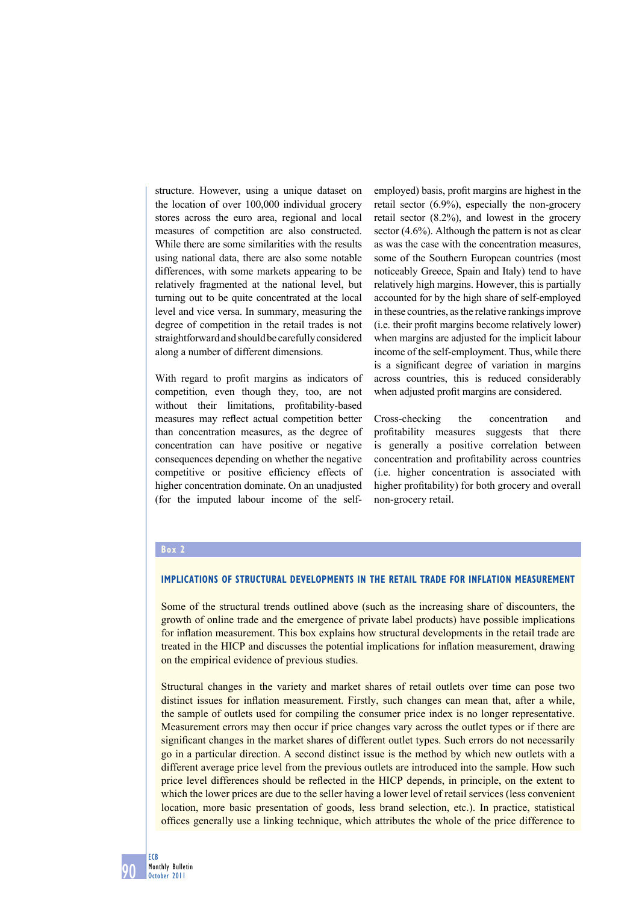structure. However, using a unique dataset on the location of over 100,000 individual grocery stores across the euro area, regional and local measures of competition are also constructed. While there are some similarities with the results using national data, there are also some notable differences, with some markets appearing to be relatively fragmented at the national level, but turning out to be quite concentrated at the local level and vice versa. In summary, measuring the degree of competition in the retail trades is not straightforward and should be carefully considered along a number of different dimensions.

With regard to profit margins as indicators of competition, even though they, too, are not without their limitations, profitability-based measures may reflect actual competition better than concentration measures, as the degree of concentration can have positive or negative consequences depending on whether the negative competitive or positive efficiency effects of higher concentration dominate. On an unadjusted (for the imputed labour income of the selfemployed) basis, profit margins are highest in the retail sector (6.9%), especially the non-grocery retail sector (8.2%), and lowest in the grocery sector (4.6%). Although the pattern is not as clear as was the case with the concentration measures some of the Southern European countries (most noticeably Greece, Spain and Italy) tend to have relatively high margins. However, this is partially accounted for by the high share of self-employed in these countries, as the relative rankings improve (i.e. their profit margins become relatively lower) when margins are adjusted for the implicit labour income of the self-employment. Thus, while there is a significant degree of variation in margins across countries, this is reduced considerably when adjusted profit margins are considered.

Cross-checking the concentration and profitability measures suggests that there is generally a positive correlation between concentration and profitability across countries (i.e. higher concentration is associated with higher profitability) for both grocery and overall non-grocery retail.

#### **Box 2**

## **Implications of structural developments in the retail trade for inflation measurement**

Some of the structural trends outlined above (such as the increasing share of discounters, the growth of online trade and the emergence of private label products) have possible implications for inflation measurement. This box explains how structural developments in the retail trade are treated in the HICP and discusses the potential implications for inflation measurement, drawing on the empirical evidence of previous studies.

Structural changes in the variety and market shares of retail outlets over time can pose two distinct issues for inflation measurement. Firstly, such changes can mean that, after a while, the sample of outlets used for compiling the consumer price index is no longer representative. Measurement errors may then occur if price changes vary across the outlet types or if there are significant changes in the market shares of different outlet types. Such errors do not necessarily go in a particular direction. A second distinct issue is the method by which new outlets with a different average price level from the previous outlets are introduced into the sample. How such price level differences should be reflected in the HICP depends, in principle, on the extent to which the lower prices are due to the seller having a lower level of retail services (less convenient location, more basic presentation of goods, less brand selection, etc.). In practice, statistical offices generally use a linking technique, which attributes the whole of the price difference to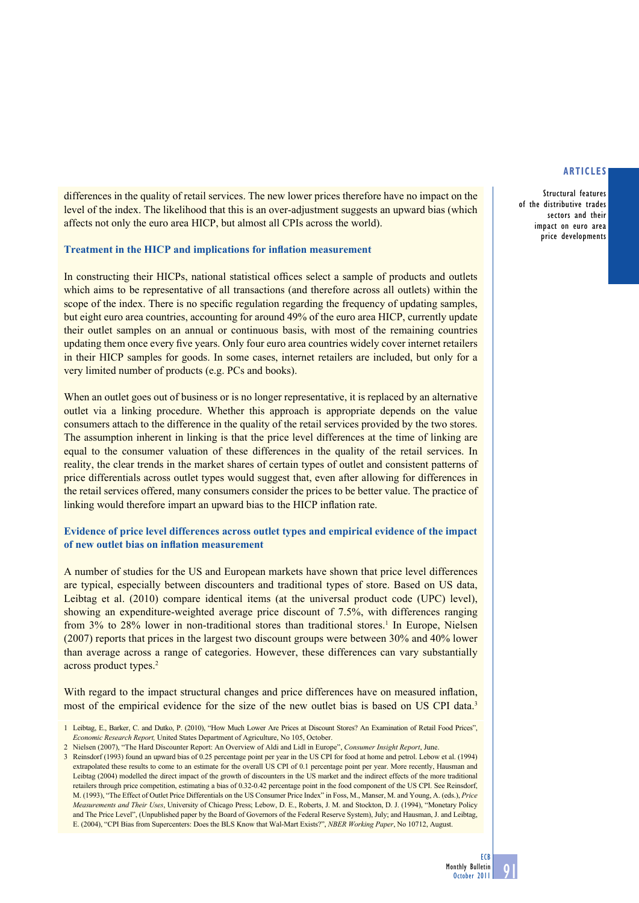Structural features of the distributive trades sectors and their impact on euro area price developments

differences in the quality of retail services. The new lower prices therefore have no impact on the level of the index. The likelihood that this is an over-adjustment suggests an upward bias (which affects not only the euro area HICP, but almost all CPIs across the world).

#### **Treatment in the HICP and implications for inflation measurement**

In constructing their HICPs, national statistical offices select a sample of products and outlets which aims to be representative of all transactions (and therefore across all outlets) within the scope of the index. There is no specific regulation regarding the frequency of updating samples, but eight euro area countries, accounting for around 49% of the euro area HICP, currently update their outlet samples on an annual or continuous basis, with most of the remaining countries updating them once every five years. Only four euro area countries widely cover internet retailers in their HICP samples for goods. In some cases, internet retailers are included, but only for a very limited number of products (e.g. PCs and books).

When an outlet goes out of business or is no longer representative, it is replaced by an alternative outlet via a linking procedure. Whether this approach is appropriate depends on the value consumers attach to the difference in the quality of the retail services provided by the two stores. The assumption inherent in linking is that the price level differences at the time of linking are equal to the consumer valuation of these differences in the quality of the retail services. In reality, the clear trends in the market shares of certain types of outlet and consistent patterns of price differentials across outlet types would suggest that, even after allowing for differences in the retail services offered, many consumers consider the prices to be better value. The practice of linking would therefore impart an upward bias to the HICP inflation rate.

# **Evidence of price level differences across outlet types and empirical evidence of the impact of new outlet bias on inflation measurement**

A number of studies for the US and European markets have shown that price level differences are typical, especially between discounters and traditional types of store. Based on US data, Leibtag et al. (2010) compare identical items (at the universal product code (UPC) level), showing an expenditure-weighted average price discount of 7.5%, with differences ranging from 3% to 28% lower in non-traditional stores than traditional stores.<sup>1</sup> In Europe, Nielsen (2007) reports that prices in the largest two discount groups were between 30% and 40% lower than average across a range of categories. However, these differences can vary substantially across product types.<sup>2</sup>

With regard to the impact structural changes and price differences have on measured inflation, most of the empirical evidence for the size of the new outlet bias is based on US CPI data.<sup>3</sup>

- 1 Leibtag, E., Barker, C. and Dutko, P. (2010), "How Much Lower Are Prices at Discount Stores? An Examination of Retail Food Prices", *Economic Research Report,* United States Department of Agriculture, No 105, October.
- 2 Nielsen (2007), "The Hard Discounter Report: An Overview of Aldi and Lidl in Europe", *Consumer Insight Report*, June.
- 3 Reinsdorf (1993) found an upward bias of 0.25 percentage point per year in the US CPI for food at home and petrol. Lebow et al. (1994) extrapolated these results to come to an estimate for the overall US CPI of 0.1 percentage point per year. More recently, Hausman and Leibtag (2004) modelled the direct impact of the growth of discounters in the US market and the indirect effects of the more traditional retailers through price competition, estimating a bias of 0.32-0.42 percentage point in the food component of the US CPI. See Reinsdorf, M. (1993), "The Effect of Outlet Price Differentials on the US Consumer Price Index" in Foss, M., Manser, M. and Young, A. (eds.), *Price Measurements and Their Uses*, University of Chicago Press; Lebow, D. E., Roberts, J. M. and Stockton, D. J. (1994), "Monetary Policy and The Price Level", (Unpublished paper by the Board of Governors of the Federal Reserve System), July; and Hausman, J. and Leibtag, E. (2004), "CPI Bias from Supercenters: Does the BLS Know that Wal-Mart Exists?", *NBER Working Paper*, No 10712, August.

91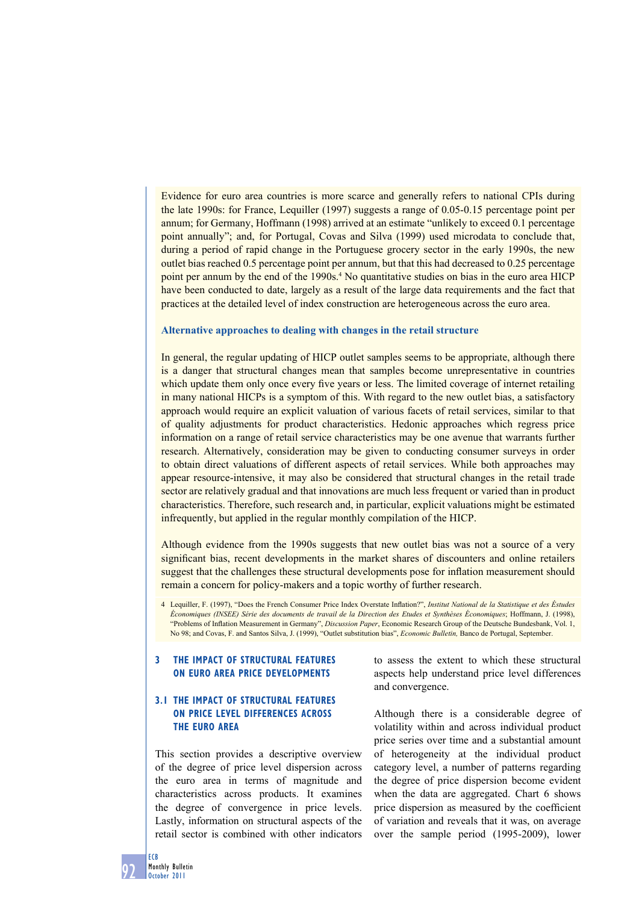Evidence for euro area countries is more scarce and generally refers to national CPIs during the late 1990s: for France, Lequiller (1997) suggests a range of 0.05-0.15 percentage point per annum; for Germany, Hoffmann (1998) arrived at an estimate "unlikely to exceed 0.1 percentage point annually"; and, for Portugal, Covas and Silva (1999) used microdata to conclude that, during a period of rapid change in the Portuguese grocery sector in the early 1990s, the new outlet bias reached 0.5 percentage point per annum, but that this had decreased to 0.25 percentage point per annum by the end of the 1990s.<sup>4</sup> No quantitative studies on bias in the euro area HICP have been conducted to date, largely as a result of the large data requirements and the fact that practices at the detailed level of index construction are heterogeneous across the euro area.

#### **Alternative approaches to dealing with changes in the retail structure**

In general, the regular updating of HICP outlet samples seems to be appropriate, although there is a danger that structural changes mean that samples become unrepresentative in countries which update them only once every five years or less. The limited coverage of internet retailing in many national HICPs is a symptom of this. With regard to the new outlet bias, a satisfactory approach would require an explicit valuation of various facets of retail services, similar to that of quality adjustments for product characteristics. Hedonic approaches which regress price information on a range of retail service characteristics may be one avenue that warrants further research. Alternatively, consideration may be given to conducting consumer surveys in order to obtain direct valuations of different aspects of retail services. While both approaches may appear resource-intensive, it may also be considered that structural changes in the retail trade sector are relatively gradual and that innovations are much less frequent or varied than in product characteristics. Therefore, such research and, in particular, explicit valuations might be estimated infrequently, but applied in the regular monthly compilation of the HICP.

Although evidence from the 1990s suggests that new outlet bias was not a source of a very significant bias, recent developments in the market shares of discounters and online retailers suggest that the challenges these structural developments pose for inflation measurement should remain a concern for policy-makers and a topic worthy of further research.

4 Lequiller, F. (1997), "Does the French Consumer Price Index Overstate Inflation?", *Institut National de la Statistique et des Éstudes Économiques (INSEE) Série des documents de travail de la Direction des Etudes et Synthèses Économiques*; Hoffmann, J. (1998), "Problems of Inflation Measurement in Germany", *Discussion Paper*, Economic Research Group of the Deutsche Bundesbank, Vol. 1, No 98; and Covas, F. and Santos Silva, J. (1999), "Outlet substitution bias", *Economic Bulletin,* Banco de Portugal, September.

# **3 The impact of structural features on euro area price developments**

# **3.1 The impact of structural features on price level differences across the euro area**

This section provides a descriptive overview of the degree of price level dispersion across the euro area in terms of magnitude and characteristics across products. It examines the degree of convergence in price levels. Lastly, information on structural aspects of the retail sector is combined with other indicators

to assess the extent to which these structural aspects help understand price level differences and convergence.

Although there is a considerable degree of volatility within and across individual product price series over time and a substantial amount of heterogeneity at the individual product category level, a number of patterns regarding the degree of price dispersion become evident when the data are aggregated. Chart 6 shows price dispersion as measured by the coefficient of variation and reveals that it was, on average over the sample period (1995-2009), lower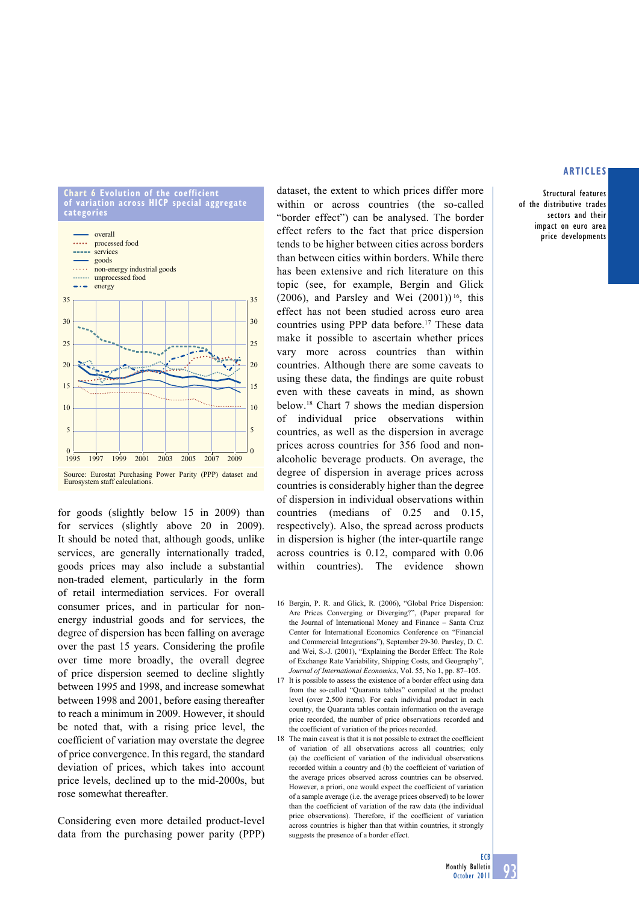#### **chart 6 evolution of the coefficient of variation across hicp special aggregate categories**



for goods (slightly below 15 in 2009) than for services (slightly above 20 in 2009). It should be noted that, although goods, unlike services, are generally internationally traded, goods prices may also include a substantial non-traded element, particularly in the form of retail intermediation services. For overall consumer prices, and in particular for nonenergy industrial goods and for services, the degree of dispersion has been falling on average over the past 15 years. Considering the profile over time more broadly, the overall degree of price dispersion seemed to decline slightly between 1995 and 1998, and increase somewhat between 1998 and 2001, before easing thereafter to reach a minimum in 2009. however, it should be noted that, with a rising price level, the coefficient of variation may overstate the degree of price convergence. In this regard, the standard deviation of prices, which takes into account price levels, declined up to the mid-2000s, but rose somewhat thereafter.

Considering even more detailed product-level data from the purchasing power parity (PPP) dataset, the extent to which prices differ more within or across countries (the so-called "border effect") can be analysed. The border effect refers to the fact that price dispersion tends to be higher between cities across borders than between cities within borders. While there has been extensive and rich literature on this topic (see, for example, Bergin and Glick (2006), and Parsley and Wei  $(2001)$ <sup>16</sup>, this effect has not been studied across euro area countries using PPP data before.17 These data make it possible to ascertain whether prices vary more across countries than within countries. Although there are some caveats to using these data, the findings are quite robust even with these caveats in mind, as shown below.18 Chart 7 shows the median dispersion of individual price observations within countries, as well as the dispersion in average prices across countries for 356 food and nonalcoholic beverage products. On average, the degree of dispersion in average prices across countries is considerably higher than the degree of dispersion in individual observations within countries (medians of 0.25 and 0.15, respectively). Also, the spread across products in dispersion is higher (the inter-quartile range across countries is 0.12, compared with 0.06 within countries). The evidence shown

- 16 Bergin, P. R. and Glick, R. (2006), "Global Price Dispersion: Are Prices Converging or Diverging?", (Paper prepared for the Journal of International Money and Finance – Santa Cruz Center for International Economics Conference on "Financial and Commercial Integrations"), September 29-30. Parsley, D. C. and Wei, S.-J. (2001), "Explaining the Border Effect: The Role of Exchange Rate Variability, Shipping Costs, and Geography", *Journal of International Economics*, Vol. 55, No 1, pp. 87–105.
- 17 It is possible to assess the existence of a border effect using data from the so-called "Quaranta tables" compiled at the product level (over 2,500 items). For each individual product in each country, the Quaranta tables contain information on the average price recorded, the number of price observations recorded and the coefficient of variation of the prices recorded.
- 18 The main caveat is that it is not possible to extract the coefficient of variation of all observations across all countries; only (a) the coefficient of variation of the individual observations recorded within a country and (b) the coefficient of variation of the average prices observed across countries can be observed. However, a priori, one would expect the coefficient of variation of a sample average (i.e. the average prices observed) to be lower than the coefficient of variation of the raw data (the individual price observations). Therefore, if the coefficient of variation across countries is higher than that within countries, it strongly suggests the presence of a border effect.

# **articles**

Structural features of the distributive trades sectors and their impact on euro area price developments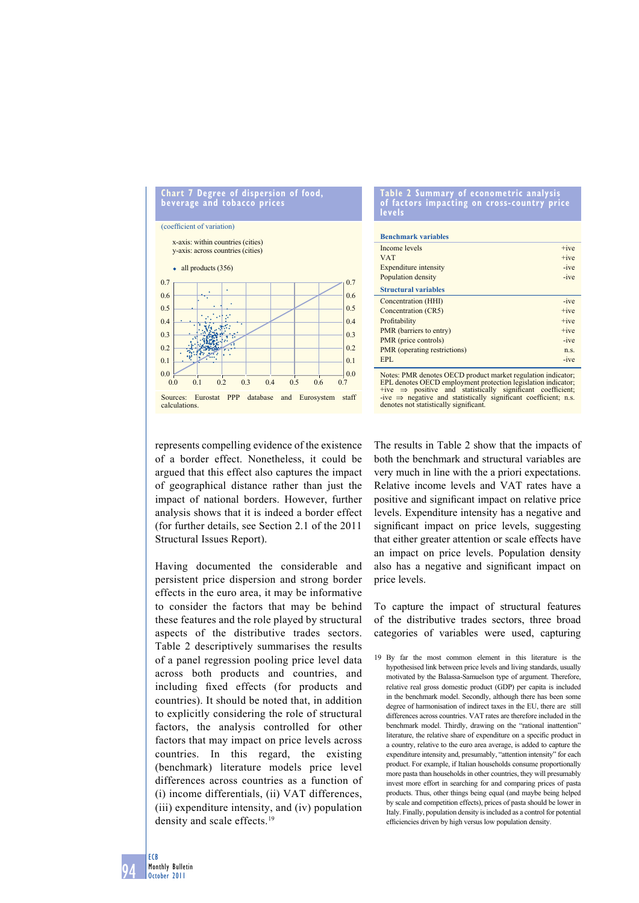

#### **table 2 summary of econometric analysis of factors impacting on cross-country price levels**

| <b>Benchmark variables</b>   |             |
|------------------------------|-------------|
| Income levels                | $+ive$      |
| <b>VAT</b>                   | $+ive$      |
| <b>Expenditure</b> intensity | $-ive$      |
| Population density           | $-ive$      |
| <b>Structural variables</b>  |             |
| Concentration (HHI)          | $-ive$      |
| Concentration (CR5)          | $+ive$      |
| Profitability                | $+ive$      |
| PMR (barriers to entry)      | $+ive$      |
| PMR (price controls)         | $-ive$      |
| PMR (operating restrictions) | $n_{\rm S}$ |
| EPL                          | $-ive$      |

Notes: PMR denotes OECD product market regulation indicator; EPL denotes OECD employment protection legislation indicator;<br>+ive ⇒ positive and statistically significant coefficient; n.s. denotes not statistically significant.

represents compelling evidence of the existence of a border effect. Nonetheless, it could be argued that this effect also captures the impact of geographical distance rather than just the impact of national borders. However, further analysis shows that it is indeed a border effect (for further details, see Section 2.1 of the 2011 Structural Issues Report).

having documented the considerable and persistent price dispersion and strong border effects in the euro area, it may be informative to consider the factors that may be behind these features and the role played by structural aspects of the distributive trades sectors. Table 2 descriptively summarises the results of a panel regression pooling price level data across both products and countries, and including fixed effects (for products and countries). It should be noted that, in addition to explicitly considering the role of structural factors, the analysis controlled for other factors that may impact on price levels across countries. In this regard, the existing (benchmark) literature models price level differences across countries as a function of (i) income differentials, (ii) VAT differences, (iii) expenditure intensity, and (iv) population density and scale effects.<sup>19</sup>

The results in Table 2 show that the impacts of both the benchmark and structural variables are very much in line with the a priori expectations. Relative income levels and VAT rates have a positive and significant impact on relative price levels. Expenditure intensity has a negative and significant impact on price levels, suggesting that either greater attention or scale effects have an impact on price levels. Population density also has a negative and significant impact on price levels.

To capture the impact of structural features of the distributive trades sectors, three broad categories of variables were used, capturing

94 ECB Monthly Bulletin October 2011

<sup>19</sup> By far the most common element in this literature is the hypothesised link between price levels and living standards, usually motivated by the Balassa-Samuelson type of argument. Therefore, relative real gross domestic product (GDP) per capita is included in the benchmark model. Secondly, although there has been some degree of harmonisation of indirect taxes in the EU, there are still differences across countries. VAT rates are therefore included in the benchmark model. Thirdly, drawing on the "rational inattention" literature, the relative share of expenditure on a specific product in a country, relative to the euro area average, is added to capture the expenditure intensity and, presumably, "attention intensity" for each product. For example, if Italian households consume proportionally more pasta than households in other countries, they will presumably invest more effort in searching for and comparing prices of pasta products. Thus, other things being equal (and maybe being helped by scale and competition effects), prices of pasta should be lower in Italy. Finally, population density is included as a control for potential efficiencies driven by high versus low population density.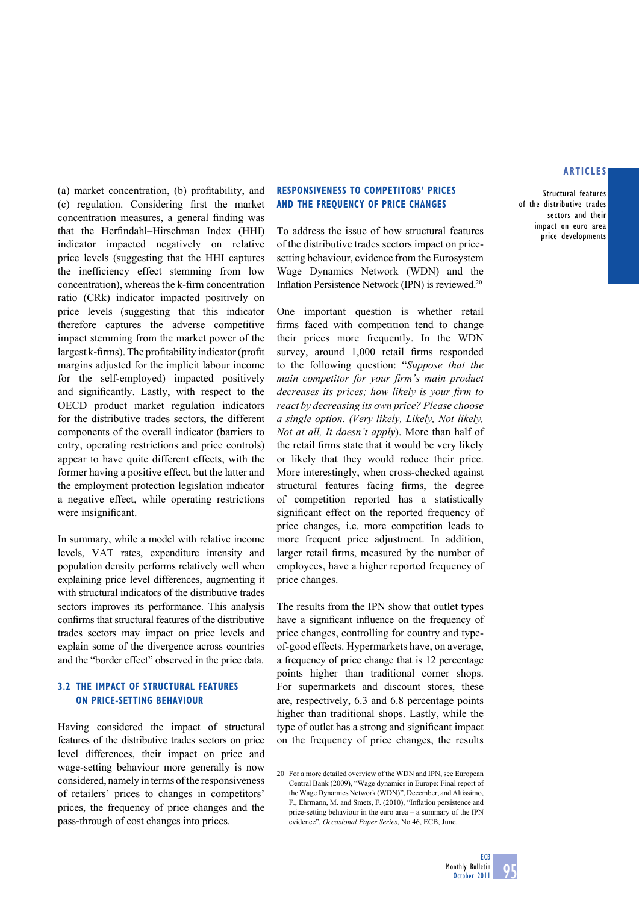Structural features of the distributive trades sectors and their impact on euro area price developments

(a) market concentration, (b) profitability, and (c) regulation. Considering first the market concentration measures, a general finding was that the Herfindahl–Hirschman Index (HHI) indicator impacted negatively on relative price levels (suggesting that the HHI captures the inefficiency effect stemming from low concentration), whereas the k-firm concentration ratio (CRk) indicator impacted positively on price levels (suggesting that this indicator therefore captures the adverse competitive impact stemming from the market power of the largest k-firms). The profitability indicator (profit margins adjusted for the implicit labour income for the self-employed) impacted positively and significantly. Lastly, with respect to the OECD product market regulation indicators for the distributive trades sectors, the different components of the overall indicator (barriers to entry, operating restrictions and price controls) appear to have quite different effects, with the former having a positive effect, but the latter and the employment protection legislation indicator a negative effect, while operating restrictions were insignificant.

In summary, while a model with relative income levels, VAT rates, expenditure intensity and population density performs relatively well when explaining price level differences, augmenting it with structural indicators of the distributive trades sectors improves its performance. This analysis confirms that structural features of the distributive trades sectors may impact on price levels and explain some of the divergence across countries and the "border effect" observed in the price data.

# **3.2 The impact of structural features on price-setting behaviour**

Having considered the impact of structural features of the distributive trades sectors on price level differences, their impact on price and wage-setting behaviour more generally is now considered, namely in terms of the responsiveness of retailers' prices to changes in competitors' prices, the frequency of price changes and the pass-through of cost changes into prices.

#### **Responsiveness to competitors' prices and the frequency of price changes**

To address the issue of how structural features of the distributive trades sectors impact on pricesetting behaviour, evidence from the Eurosystem Wage Dynamics Network (WDN) and the Inflation Persistence Network (IPN) is reviewed.<sup>20</sup>

One important question is whether retail firms faced with competition tend to change their prices more frequently. In the WDN survey, around 1,000 retail firms responded to the following question: "*Suppose that the main competitor for your firm's main product decreases its prices; how likely is your firm to react by decreasing its own price? Please choose a single option. (Very likely, Likely, Not likely, Not at all, It doesn't apply*). More than half of the retail firms state that it would be very likely or likely that they would reduce their price. More interestingly, when cross-checked against structural features facing firms, the degree of competition reported has a statistically significant effect on the reported frequency of price changes, i.e. more competition leads to more frequent price adjustment. In addition, larger retail firms, measured by the number of employees, have a higher reported frequency of price changes.

The results from the IPN show that outlet types have a significant influence on the frequency of price changes, controlling for country and typeof-good effects. Hypermarkets have, on average, a frequency of price change that is 12 percentage points higher than traditional corner shops. For supermarkets and discount stores, these are, respectively, 6.3 and 6.8 percentage points higher than traditional shops. Lastly, while the type of outlet has a strong and significant impact on the frequency of price changes, the results

<sup>20</sup> For a more detailed overview of the WDN and IPN, see European Central Bank (2009), "Wage dynamics in Europe: Final report of the Wage Dynamics Network (WDN)", December, and Altissimo, F., Ehrmann, M. and Smets, F. (2010), "Inflation persistence and price-setting behaviour in the euro area – a summary of the IPN evidence", *Occasional Paper Series*, No 46, ECB, June.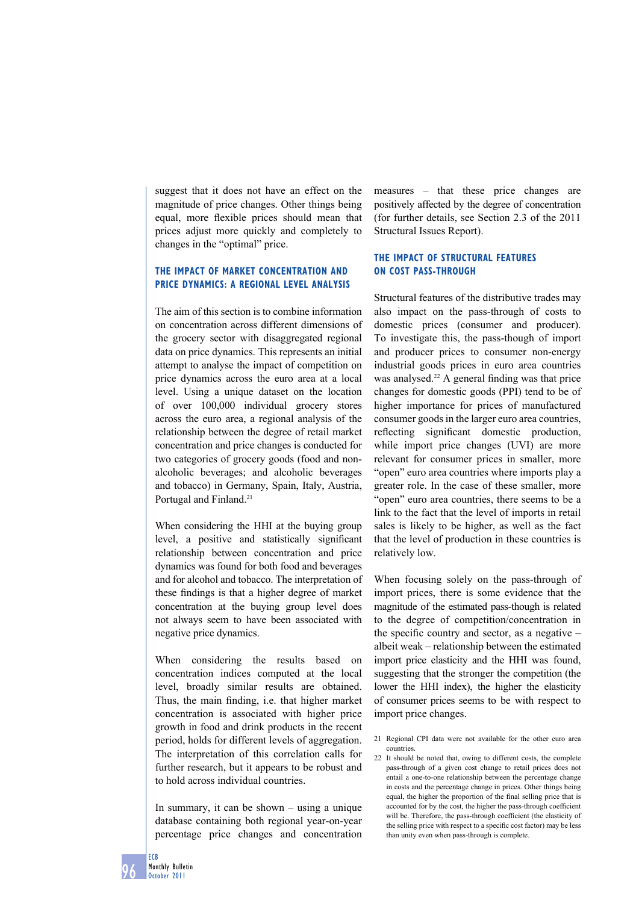suggest that it does not have an effect on the magnitude of price changes. Other things being equal, more flexible prices should mean that prices adjust more quickly and completely to changes in the "optimal" price.

# **The impact of MARKET CONCENTRATION and price dynamics: A regional level analysis**

The aim of this section is to combine information on concentration across different dimensions of the grocery sector with disaggregated regional data on price dynamics. This represents an initial attempt to analyse the impact of competition on price dynamics across the euro area at a local level. Using a unique dataset on the location of over 100,000 individual grocery stores across the euro area, a regional analysis of the relationship between the degree of retail market concentration and price changes is conducted for two categories of grocery goods (food and nonalcoholic beverages; and alcoholic beverages and tobacco) in Germany, Spain, Italy, Austria, Portugal and Finland.<sup>21</sup>

When considering the HHI at the buying group level, a positive and statistically significant relationship between concentration and price dynamics was found for both food and beverages and for alcohol and tobacco. The interpretation of these findings is that a higher degree of market concentration at the buying group level does not always seem to have been associated with negative price dynamics.

When considering the results based on concentration indices computed at the local level, broadly similar results are obtained. Thus, the main finding, i.e. that higher market concentration is associated with higher price growth in food and drink products in the recent period, holds for different levels of aggregation. The interpretation of this correlation calls for further research, but it appears to be robust and to hold across individual countries.

In summary, it can be shown – using a unique database containing both regional year-on-year percentage price changes and concentration

measures – that these price changes are positively affected by the degree of concentration (for further details, see Section 2.3 of the 2011 Structural Issues Report).

# **The impact of structural features on cost pass-through**

Structural features of the distributive trades may also impact on the pass-through of costs to domestic prices (consumer and producer). To investigate this, the pass-though of import and producer prices to consumer non-energy industrial goods prices in euro area countries was analysed. $22$  A general finding was that price changes for domestic goods (PPI) tend to be of higher importance for prices of manufactured consumer goods in the larger euro area countries, reflecting significant domestic production, while import price changes (UVI) are more relevant for consumer prices in smaller, more "open" euro area countries where imports play a greater role. In the case of these smaller, more "open" euro area countries, there seems to be a link to the fact that the level of imports in retail sales is likely to be higher, as well as the fact that the level of production in these countries is relatively low.

When focusing solely on the pass-through of import prices, there is some evidence that the magnitude of the estimated pass-though is related to the degree of competition/concentration in the specific country and sector, as a negative – albeit weak – relationship between the estimated import price elasticity and the HHI was found, suggesting that the stronger the competition (the lower the HHI index), the higher the elasticity of consumer prices seems to be with respect to import price changes.

- 21 Regional CPI data were not available for the other euro area countries.
- 22 It should be noted that, owing to different costs, the complete pass-through of a given cost change to retail prices does not entail a one-to-one relationship between the percentage change in costs and the percentage change in prices. Other things being equal, the higher the proportion of the final selling price that is accounted for by the cost, the higher the pass-through coefficient will be. Therefore, the pass-through coefficient (the elasticity of the selling price with respect to a specific cost factor) may be less than unity even when pass-through is complete.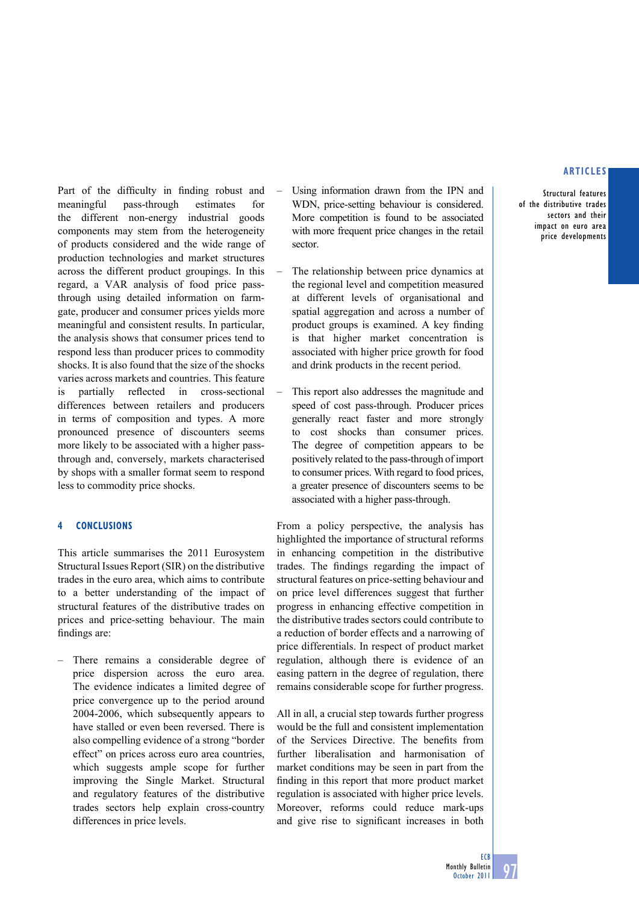Structural features of the distributive trades sectors and their impact on euro area price developments

Part of the difficulty in finding robust and meaningful pass-through estimates for the different non-energy industrial goods components may stem from the heterogeneity of products considered and the wide range of production technologies and market structures across the different product groupings. In this regard, a VAR analysis of food price passthrough using detailed information on farmgate, producer and consumer prices yields more meaningful and consistent results. In particular, the analysis shows that consumer prices tend to respond less than producer prices to commodity shocks. It is also found that the size of the shocks varies across markets and countries. This feature is partially reflected in cross-sectional differences between retailers and producers in terms of composition and types. A more pronounced presence of discounters seems more likely to be associated with a higher passthrough and, conversely, markets characterised by shops with a smaller format seem to respond less to commodity price shocks.

## **4 Conclusions**

This article summarises the 2011 Eurosystem Structural Issues Report (SIR) on the distributive trades in the euro area, which aims to contribute to a better understanding of the impact of structural features of the distributive trades on prices and price-setting behaviour. The main findings are:

There remains a considerable degree of price dispersion across the euro area. The evidence indicates a limited degree of price convergence up to the period around 2004-2006, which subsequently appears to have stalled or even been reversed. There is also compelling evidence of a strong "border effect" on prices across euro area countries, which suggests ample scope for further improving the Single Market. Structural and regulatory features of the distributive trades sectors help explain cross-country differences in price levels.

- Using information drawn from the IPN and WDN, price-setting behaviour is considered. More competition is found to be associated with more frequent price changes in the retail sector.
- The relationship between price dynamics at the regional level and competition measured at different levels of organisational and spatial aggregation and across a number of product groups is examined. A key finding is that higher market concentration is associated with higher price growth for food and drink products in the recent period.
- This report also addresses the magnitude and speed of cost pass-through. Producer prices generally react faster and more strongly to cost shocks than consumer prices. The degree of competition appears to be positively related to the pass-through of import to consumer prices. With regard to food prices, a greater presence of discounters seems to be associated with a higher pass-through.

From a policy perspective, the analysis has highlighted the importance of structural reforms in enhancing competition in the distributive trades. The findings regarding the impact of structural features on price-setting behaviour and on price level differences suggest that further progress in enhancing effective competition in the distributive trades sectors could contribute to a reduction of border effects and a narrowing of price differentials. In respect of product market regulation, although there is evidence of an easing pattern in the degree of regulation, there remains considerable scope for further progress.

All in all, a crucial step towards further progress would be the full and consistent implementation of the Services Directive. The benefits from further liberalisation and harmonisation of market conditions may be seen in part from the finding in this report that more product market regulation is associated with higher price levels. Moreover, reforms could reduce mark-ups and give rise to significant increases in both